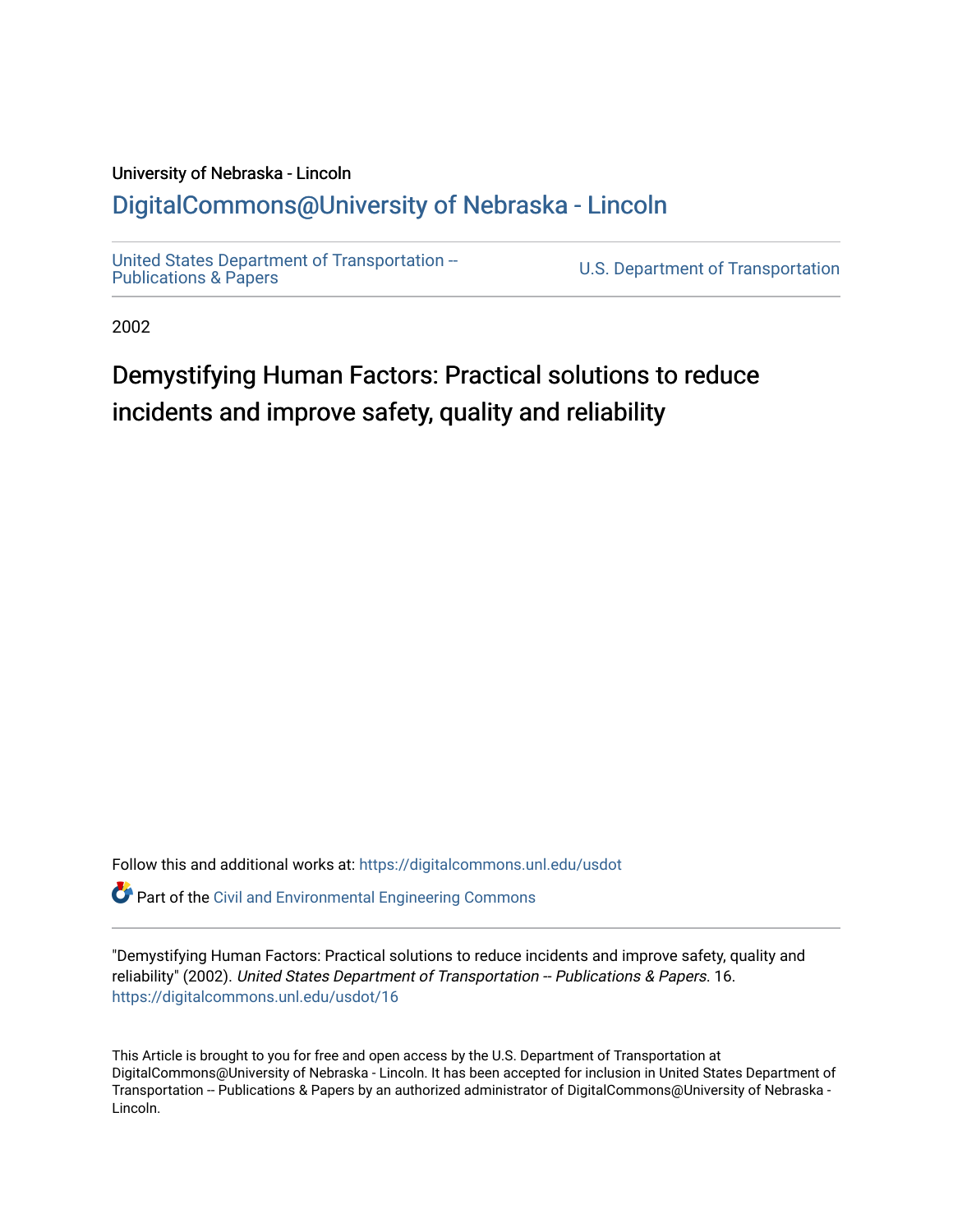### University of Nebraska - Lincoln [DigitalCommons@University of Nebraska - Lincoln](https://digitalcommons.unl.edu/)

[United States Department of Transportation --](https://digitalcommons.unl.edu/usdot)<br>Publications & Papers

U.S. Department of Transportation

2002

# Demystifying Human Factors: Practical solutions to reduce incidents and improve safety, quality and reliability

Follow this and additional works at: [https://digitalcommons.unl.edu/usdot](https://digitalcommons.unl.edu/usdot?utm_source=digitalcommons.unl.edu%2Fusdot%2F16&utm_medium=PDF&utm_campaign=PDFCoverPages) 

**Part of the [Civil and Environmental Engineering Commons](http://network.bepress.com/hgg/discipline/251?utm_source=digitalcommons.unl.edu%2Fusdot%2F16&utm_medium=PDF&utm_campaign=PDFCoverPages)** 

"Demystifying Human Factors: Practical solutions to reduce incidents and improve safety, quality and reliability" (2002). United States Department of Transportation -- Publications & Papers. 16. [https://digitalcommons.unl.edu/usdot/16](https://digitalcommons.unl.edu/usdot/16?utm_source=digitalcommons.unl.edu%2Fusdot%2F16&utm_medium=PDF&utm_campaign=PDFCoverPages)

This Article is brought to you for free and open access by the U.S. Department of Transportation at DigitalCommons@University of Nebraska - Lincoln. It has been accepted for inclusion in United States Department of Transportation -- Publications & Papers by an authorized administrator of DigitalCommons@University of Nebraska -Lincoln.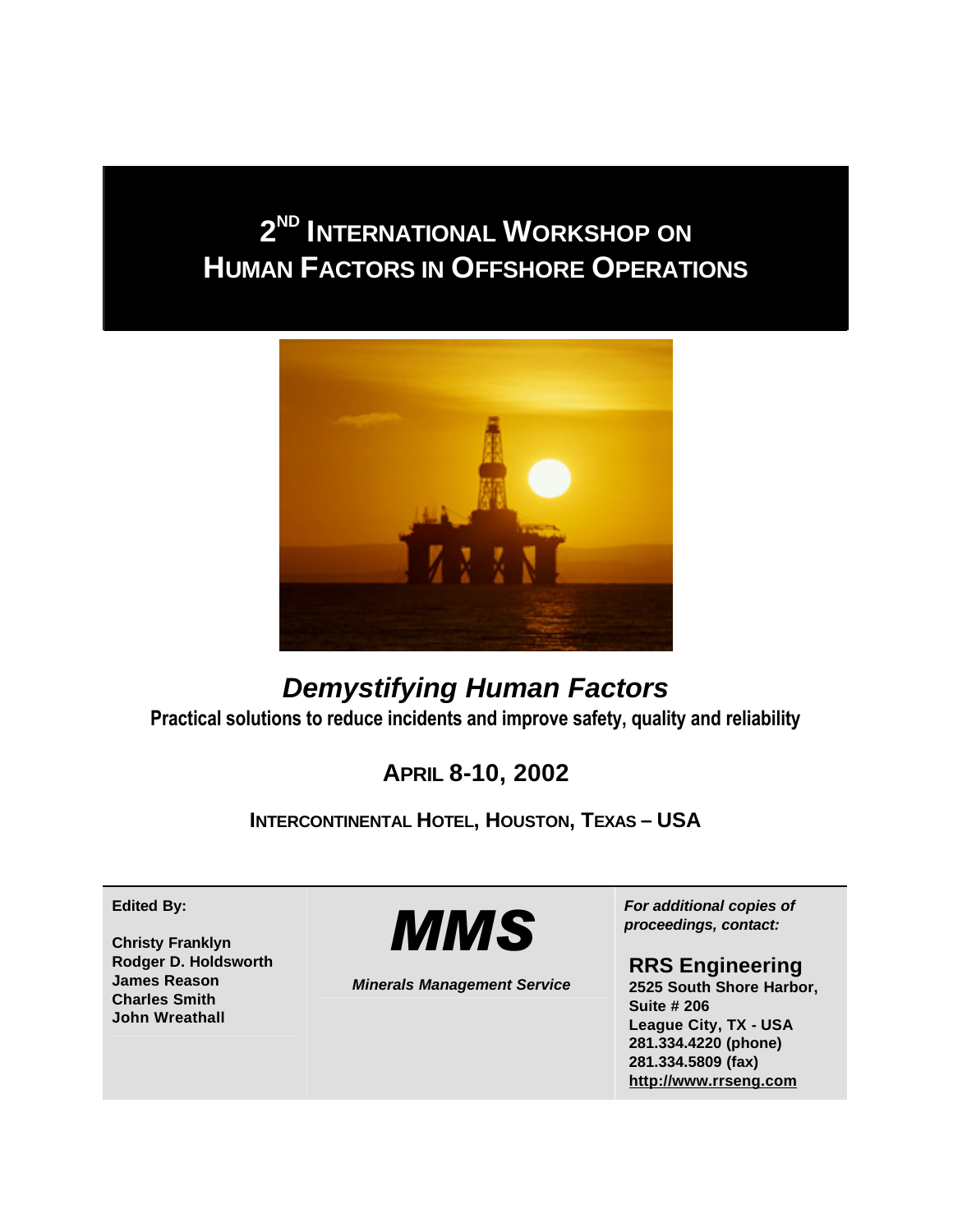# **2 ND INTERNATIONAL WORKSHOP ON HUMAN FACTORS IN OFFSHORE OPERATIONS**



## *Demystifying Human Factors* **Practical solutions to reduce incidents and improve safety, quality and reliability**

## **APRIL 8-10, 2002**

**INTERCONTINENTAL HOTEL, HOUSTON, TEXAS – USA**

**Edited By:**

**Christy Franklyn Rodger D. Holdsworth James Reason Charles Smith John Wreathall**



*Minerals Management Service*

*For additional copies of proceedings, contact:*

### **RRS Engineering**

**2525 South Shore Harbor, Suite # 206 League City, TX - USA 281.334.4220 (phone) 281.334.5809 (fax) http://www.rrseng.com**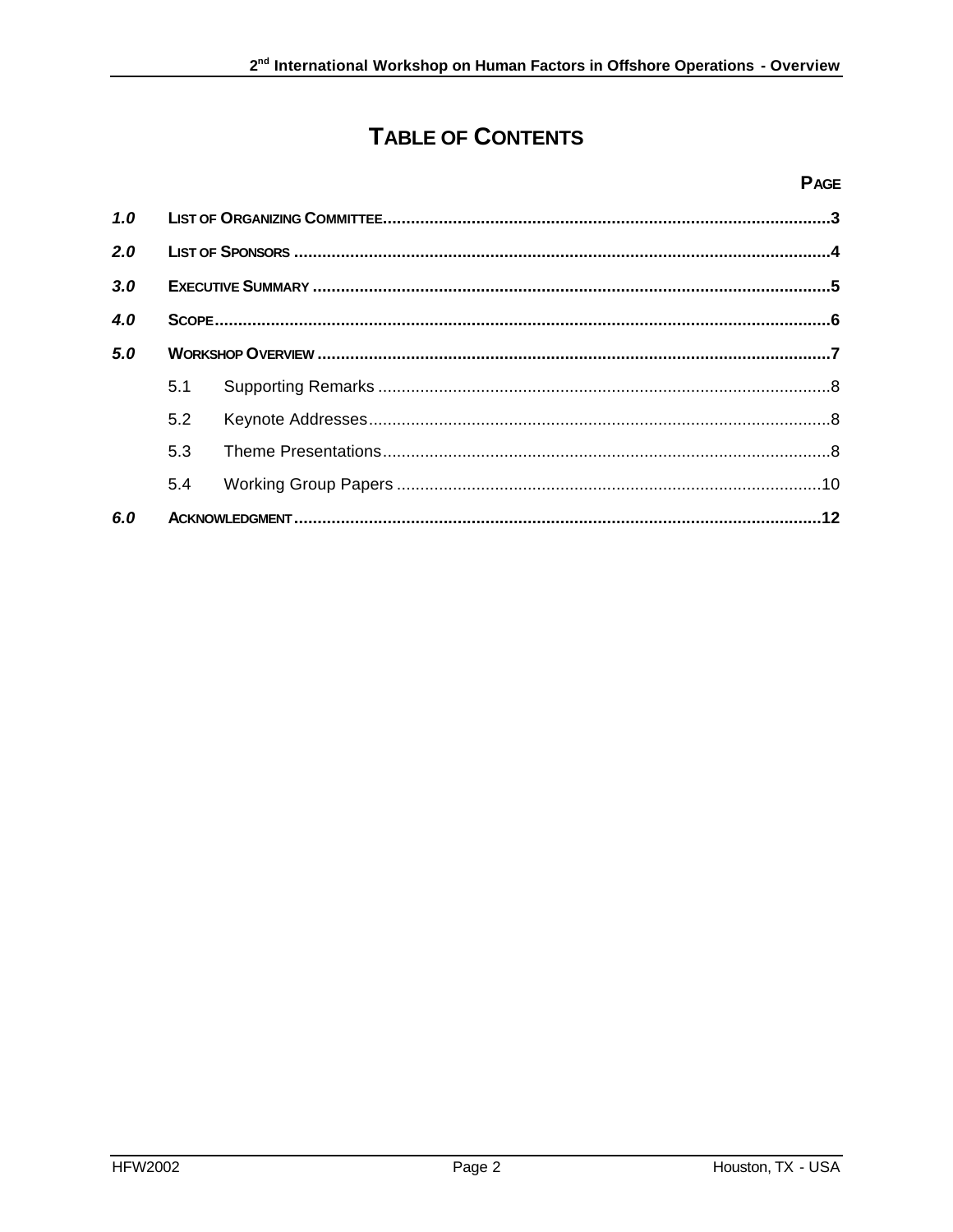## **TABLE OF CONTENTS**

#### **PAGE**

| 1.0 |     |  |  |
|-----|-----|--|--|
| 2.0 |     |  |  |
| 3.0 |     |  |  |
| 4.0 |     |  |  |
| 5.0 |     |  |  |
|     | 5.1 |  |  |
|     | 5.2 |  |  |
|     | 5.3 |  |  |
|     | 5.4 |  |  |
| 6.0 |     |  |  |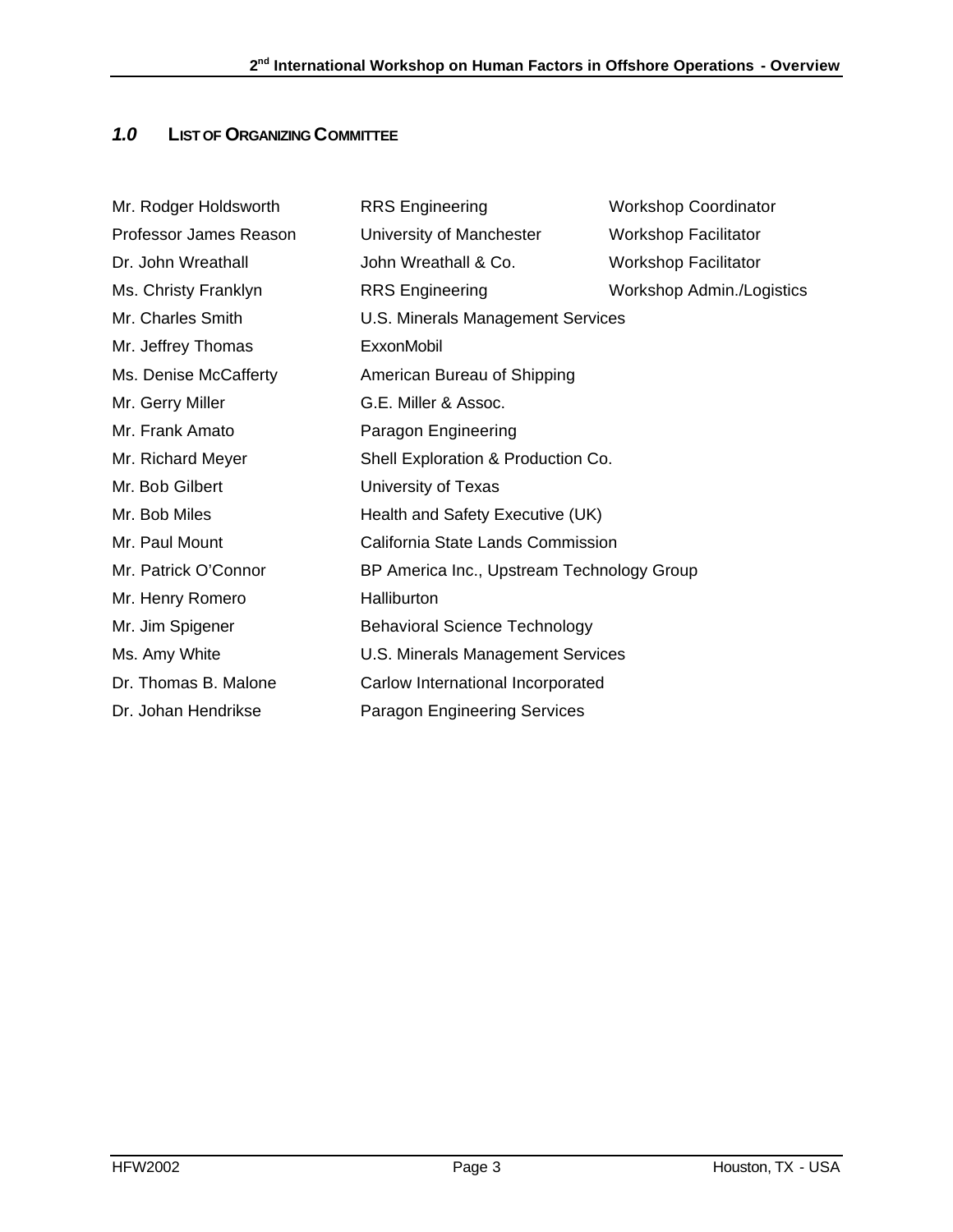### *1.0* **LIST OF ORGANIZING COMMITTEE**

| <b>RRS</b> Engineering                     | <b>Workshop Coordinator</b> |
|--------------------------------------------|-----------------------------|
| University of Manchester                   | <b>Workshop Facilitator</b> |
| John Wreathall & Co.                       | <b>Workshop Facilitator</b> |
| <b>RRS</b> Engineering                     | Workshop Admin./Logistics   |
| U.S. Minerals Management Services          |                             |
| ExxonMobil                                 |                             |
| American Bureau of Shipping                |                             |
| G.E. Miller & Assoc.                       |                             |
| Paragon Engineering                        |                             |
| Shell Exploration & Production Co.         |                             |
| University of Texas                        |                             |
| Health and Safety Executive (UK)           |                             |
| California State Lands Commission          |                             |
| BP America Inc., Upstream Technology Group |                             |
| Halliburton                                |                             |
| <b>Behavioral Science Technology</b>       |                             |
| U.S. Minerals Management Services          |                             |
| Carlow International Incorporated          |                             |
| <b>Paragon Engineering Services</b>        |                             |
|                                            |                             |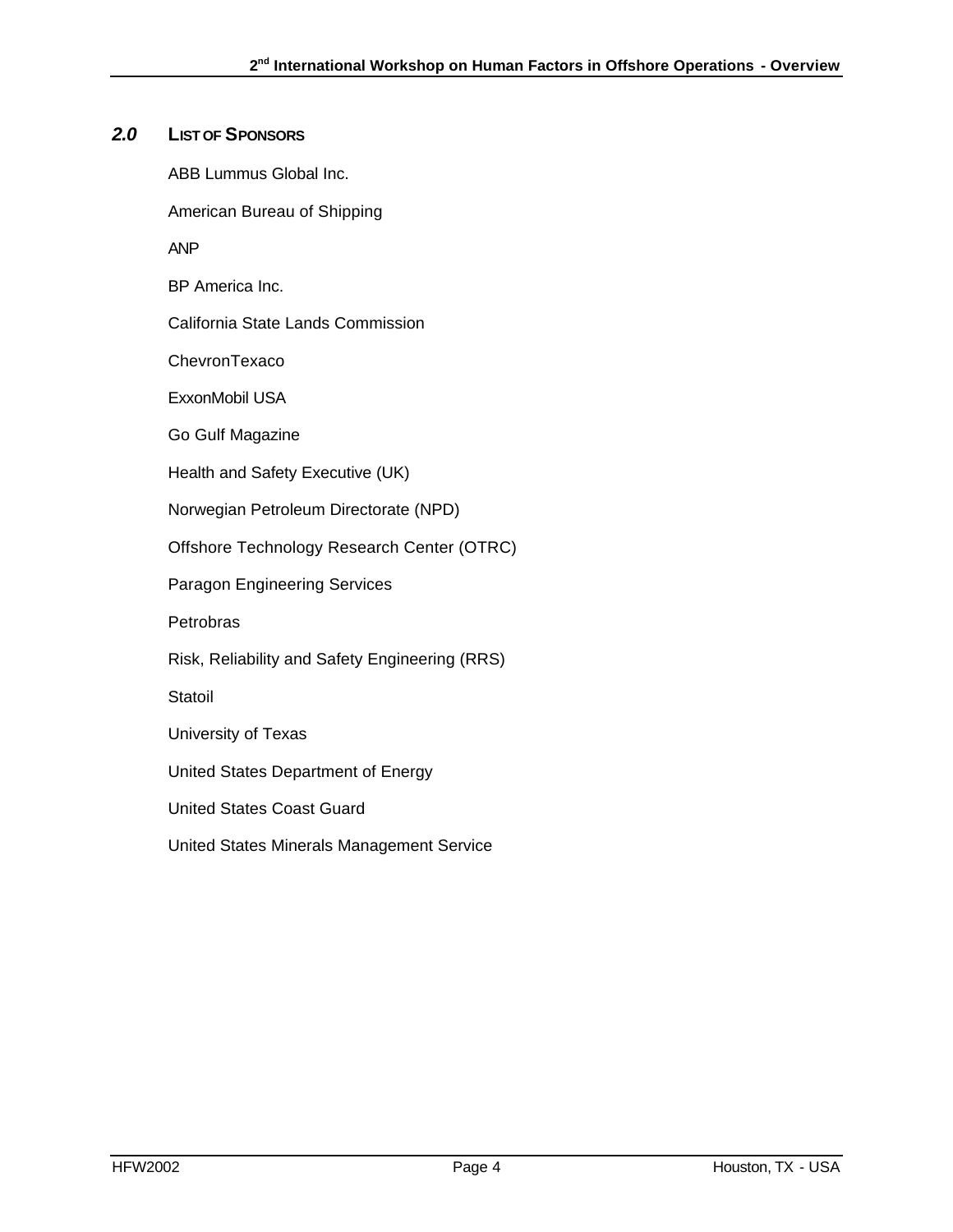#### *2.0* **LIST OF SPONSORS**

ABB Lummus Global Inc.

American Bureau of Shipping

ANP

BP America Inc.

California State Lands Commission

**ChevronTexaco** 

ExxonMobil USA

Go Gulf Magazine

Health and Safety Executive (UK)

Norwegian Petroleum Directorate (NPD)

Offshore Technology Research Center (OTRC)

Paragon Engineering Services

**Petrobras** 

Risk, Reliability and Safety Engineering (RRS)

**Statoil** 

University of Texas

United States Department of Energy

United States Coast Guard

United States Minerals Management Service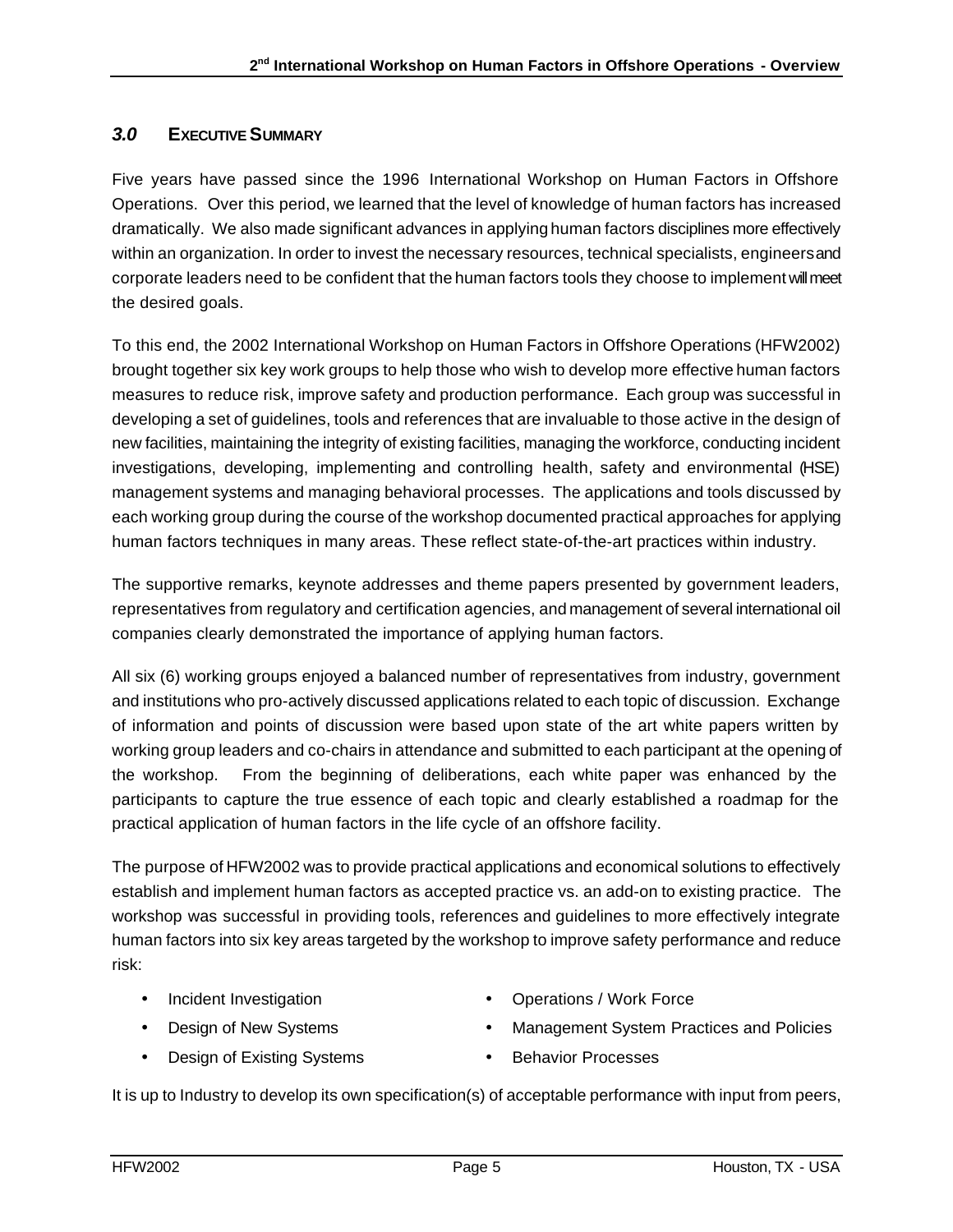#### *3.0* **EXECUTIVE SUMMARY**

Five years have passed since the 1996 International Workshop on Human Factors in Offshore Operations. Over this period, we learned that the level of knowledge of human factors has increased dramatically. We also made significant advances in applying human factors disciplines more effectively within an organization. In order to invest the necessary resources, technical specialists, engineers and corporate leaders need to be confident that the human factors tools they choose to implement will meet the desired goals.

To this end, the 2002 International Workshop on Human Factors in Offshore Operations (HFW2002) brought together six key work groups to help those who wish to develop more effective human factors measures to reduce risk, improve safety and production performance. Each group was successful in developing a set of guidelines, tools and references that are invaluable to those active in the design of new facilities, maintaining the integrity of existing facilities, managing the workforce, conducting incident investigations, developing, implementing and controlling health, safety and environmental (HSE) management systems and managing behavioral processes. The applications and tools discussed by each working group during the course of the workshop documented practical approaches for applying human factors techniques in many areas. These reflect state-of-the-art practices within industry.

The supportive remarks, keynote addresses and theme papers presented by government leaders, representatives from regulatory and certification agencies, and management of several international oil companies clearly demonstrated the importance of applying human factors.

All six (6) working groups enjoyed a balanced number of representatives from industry, government and institutions who pro-actively discussed applications related to each topic of discussion. Exchange of information and points of discussion were based upon state of the art white papers written by working group leaders and co-chairs in attendance and submitted to each participant at the opening of the workshop. From the beginning of deliberations, each white paper was enhanced by the participants to capture the true essence of each topic and clearly established a roadmap for the practical application of human factors in the life cycle of an offshore facility.

The purpose of HFW2002 was to provide practical applications and economical solutions to effectively establish and implement human factors as accepted practice vs. an add-on to existing practice. The workshop was successful in providing tools, references and guidelines to more effectively integrate human factors into six key areas targeted by the workshop to improve safety performance and reduce risk:

- Incident Investigation
- Design of New Systems
- Design of Existing Systems
- Operations / Work Force
- Management System Practices and Policies
- Behavior Processes

It is up to Industry to develop its own specification(s) of acceptable performance with input from peers,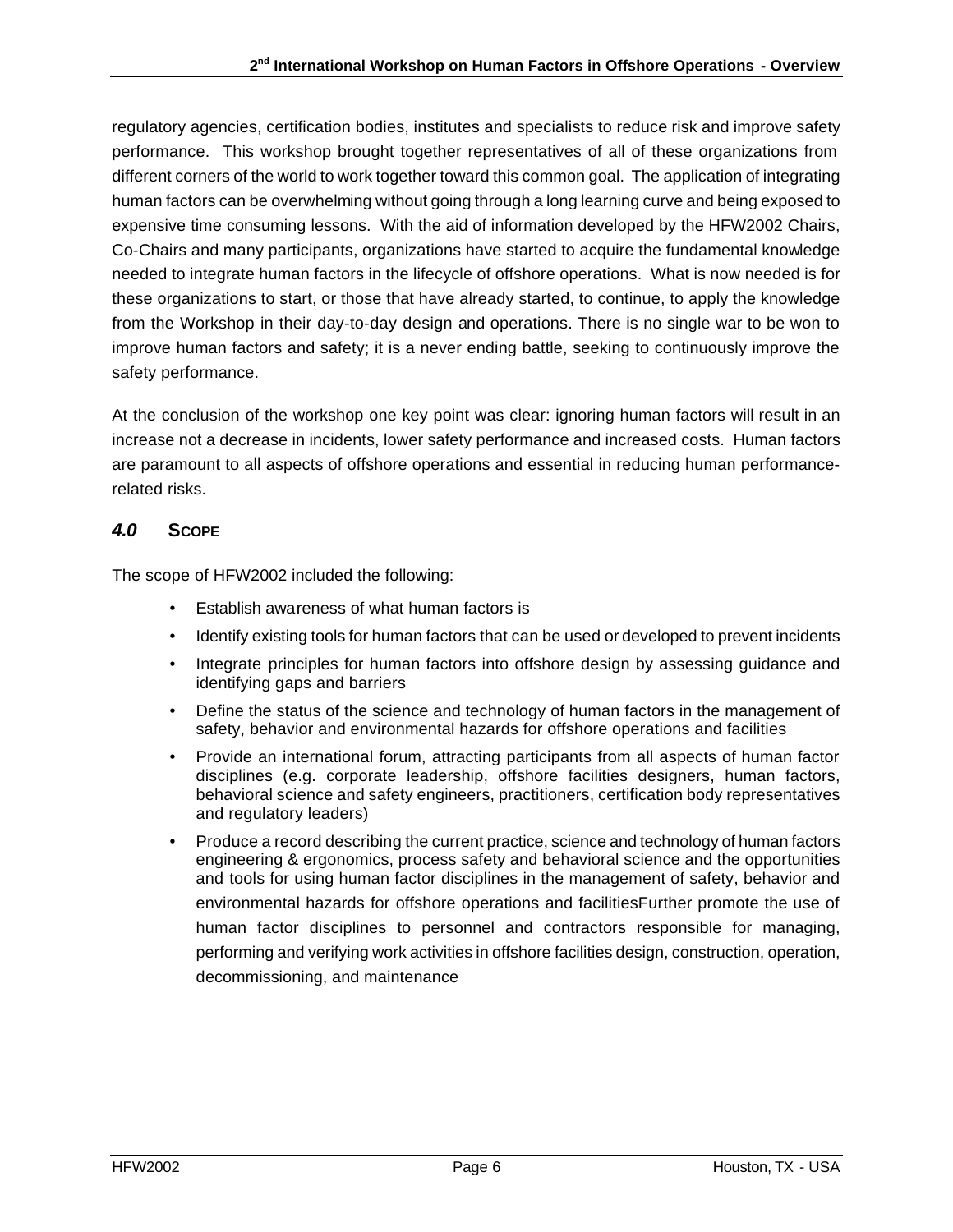regulatory agencies, certification bodies, institutes and specialists to reduce risk and improve safety performance. This workshop brought together representatives of all of these organizations from different corners of the world to work together toward this common goal. The application of integrating human factors can be overwhelming without going through a long learning curve and being exposed to expensive time consuming lessons. With the aid of information developed by the HFW2002 Chairs, Co-Chairs and many participants, organizations have started to acquire the fundamental knowledge needed to integrate human factors in the lifecycle of offshore operations. What is now needed is for these organizations to start, or those that have already started, to continue, to apply the knowledge from the Workshop in their day-to-day design and operations. There is no single war to be won to improve human factors and safety; it is a never ending battle, seeking to continuously improve the safety performance.

At the conclusion of the workshop one key point was clear: ignoring human factors will result in an increase not a decrease in incidents, lower safety performance and increased costs. Human factors are paramount to all aspects of offshore operations and essential in reducing human performancerelated risks.

#### *4.0* **SCOPE**

The scope of HFW2002 included the following:

- Establish awareness of what human factors is
- Identify existing tools for human factors that can be used or developed to prevent incidents
- Integrate principles for human factors into offshore design by assessing quidance and identifying gaps and barriers
- Define the status of the science and technology of human factors in the management of safety, behavior and environmental hazards for offshore operations and facilities
- Provide an international forum, attracting participants from all aspects of human factor disciplines (e.g. corporate leadership, offshore facilities designers, human factors, behavioral science and safety engineers, practitioners, certification body representatives and regulatory leaders)
- Produce a record describing the current practice, science and technology of human factors engineering & ergonomics, process safety and behavioral science and the opportunities and tools for using human factor disciplines in the management of safety, behavior and environmental hazards for offshore operations and facilitiesFurther promote the use of human factor disciplines to personnel and contractors responsible for managing, performing and verifying work activities in offshore facilities design, construction, operation, decommissioning, and maintenance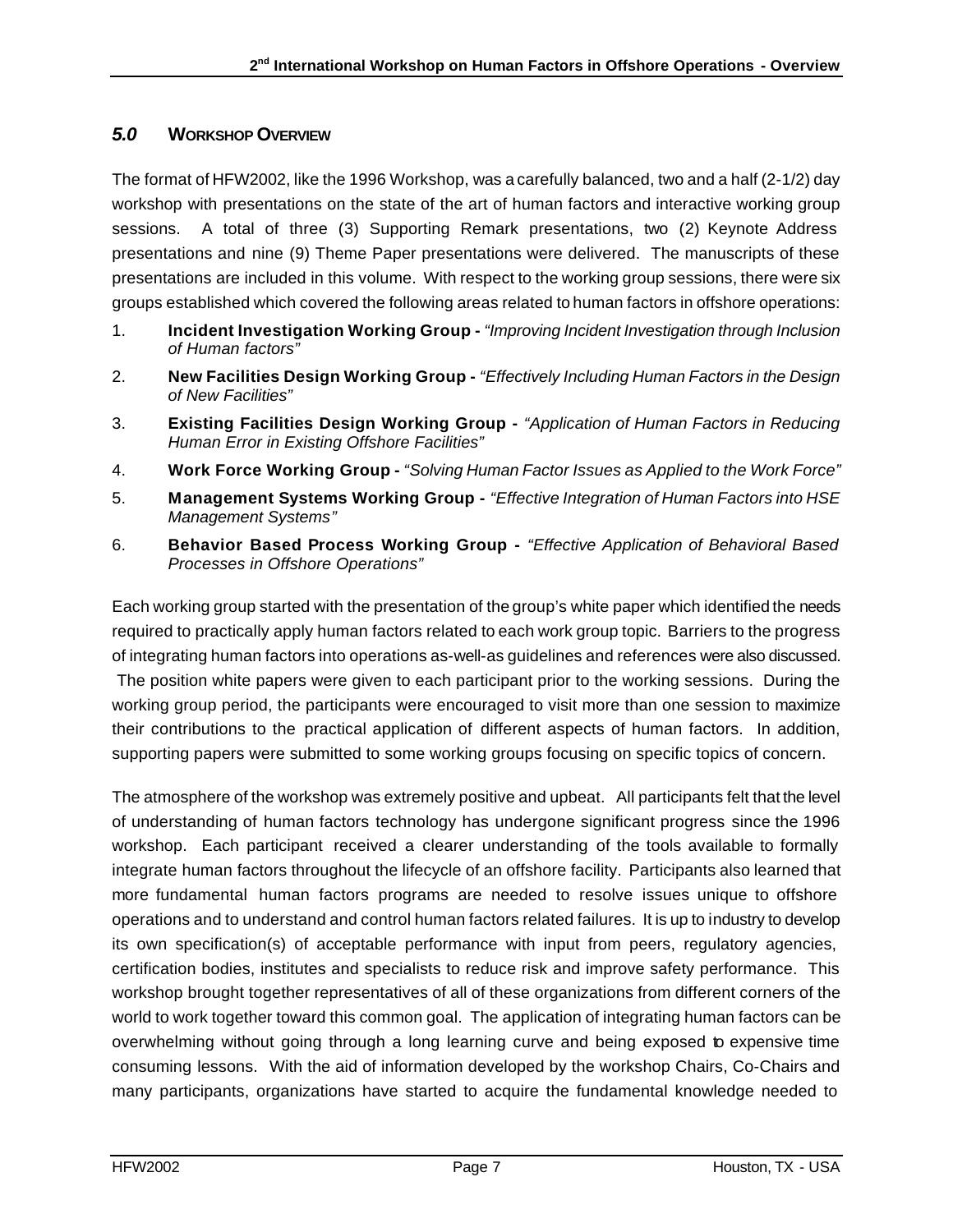#### *5.0* **WORKSHOP OVERVIEW**

The format of HFW2002, like the 1996 Workshop, was a carefully balanced, two and a half (2-1/2) day workshop with presentations on the state of the art of human factors and interactive working group sessions. A total of three (3) Supporting Remark presentations, two (2) Keynote Address presentations and nine (9) Theme Paper presentations were delivered. The manuscripts of these presentations are included in this volume. With respect to the working group sessions, there were six groups established which covered the following areas related to human factors in offshore operations:

- 1. **Incident Investigation Working Group -** *"Improving Incident Investigation through Inclusion of Human factors"*
- 2. **New Facilities Design Working Group -** *"Effectively Including Human Factors in the Design of New Facilities"*
- 3. **Existing Facilities Design Working Group -** *"Application of Human Factors in Reducing Human Error in Existing Offshore Facilities"*
- 4. **Work Force Working Group -** *"Solving Human Factor Issues as Applied to the Work Force"*
- 5. **Management Systems Working Group -** *"Effective Integration of Human Factors into HSE Management Systems"*
- 6. **Behavior Based Process Working Group -** *"Effective Application of Behavioral Based Processes in Offshore Operations"*

Each working group started with the presentation of the group's white paper which identified the needs required to practically apply human factors related to each work group topic. Barriers to the progress of integrating human factors into operations as-well-as guidelines and references were also discussed. The position white papers were given to each participant prior to the working sessions. During the working group period, the participants were encouraged to visit more than one session to maximize their contributions to the practical application of different aspects of human factors. In addition, supporting papers were submitted to some working groups focusing on specific topics of concern.

The atmosphere of the workshop was extremely positive and upbeat. All participants felt that the level of understanding of human factors technology has undergone significant progress since the 1996 workshop. Each participant received a clearer understanding of the tools available to formally integrate human factors throughout the lifecycle of an offshore facility. Participants also learned that more fundamental human factors programs are needed to resolve issues unique to offshore operations and to understand and control human factors related failures. It is up to industry to develop its own specification(s) of acceptable performance with input from peers, regulatory agencies, certification bodies, institutes and specialists to reduce risk and improve safety performance. This workshop brought together representatives of all of these organizations from different corners of the world to work together toward this common goal. The application of integrating human factors can be overwhelming without going through a long learning curve and being exposed to expensive time consuming lessons. With the aid of information developed by the workshop Chairs, Co-Chairs and many participants, organizations have started to acquire the fundamental knowledge needed to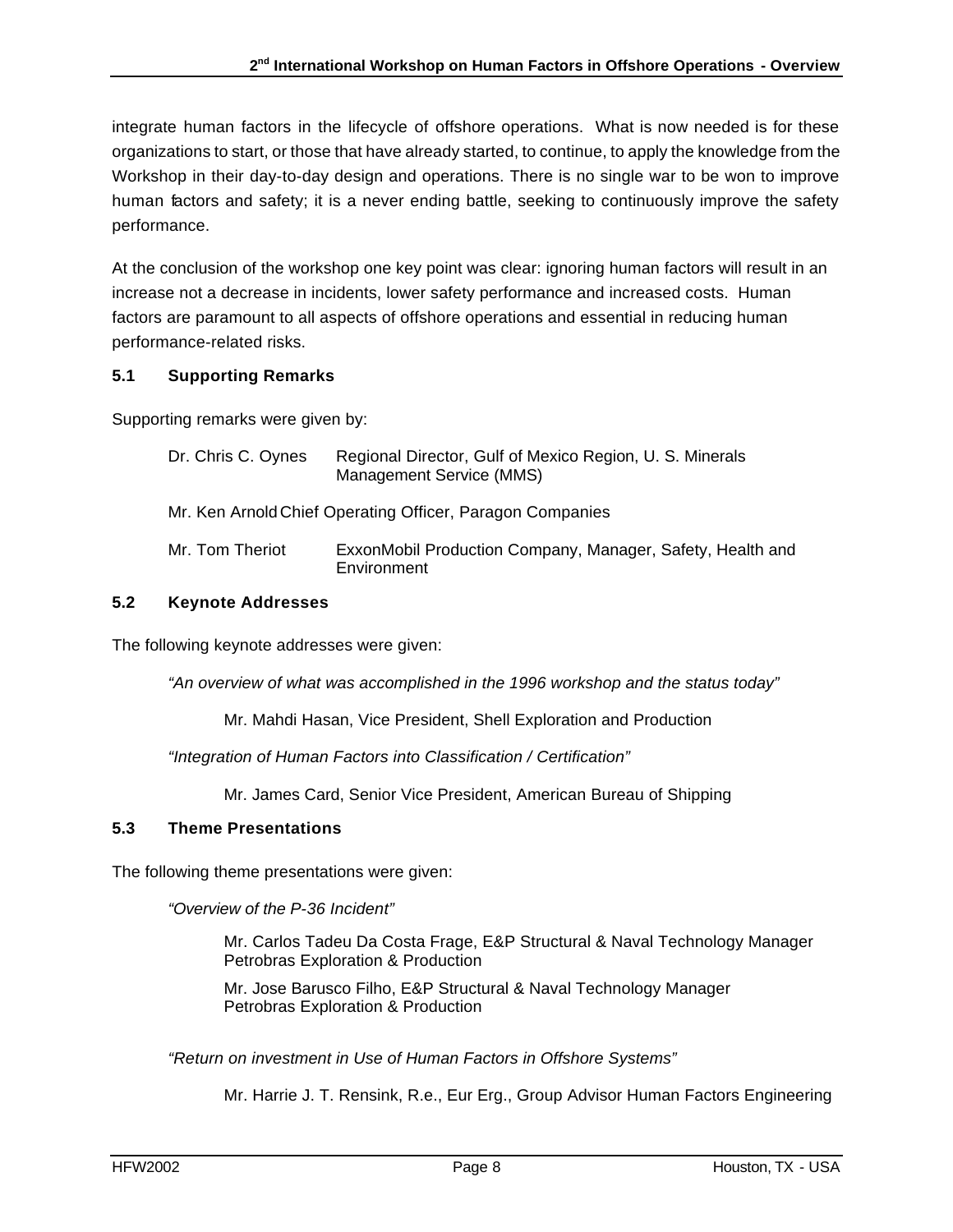integrate human factors in the lifecycle of offshore operations. What is now needed is for these organizations to start, or those that have already started, to continue, to apply the knowledge from the Workshop in their day-to-day design and operations. There is no single war to be won to improve human factors and safety; it is a never ending battle, seeking to continuously improve the safety performance.

At the conclusion of the workshop one key point was clear: ignoring human factors will result in an increase not a decrease in incidents, lower safety performance and increased costs. Human factors are paramount to all aspects of offshore operations and essential in reducing human performance-related risks.

#### **5.1 Supporting Remarks**

Supporting remarks were given by:

| Dr. Chris C. Oynes | Regional Director, Gulf of Mexico Region, U. S. Minerals<br>Management Service (MMS) |
|--------------------|--------------------------------------------------------------------------------------|
|                    | Mr. Ken Arnold Chief Operating Officer, Paragon Companies                            |
| Mr. Tom Theriot    | ExxonMobil Production Company, Manager, Safety, Health and<br>Environment            |

#### **5.2 Keynote Addresses**

The following keynote addresses were given:

*"An overview of what was accomplished in the 1996 workshop and the status today"*

Mr. Mahdi Hasan, Vice President, Shell Exploration and Production

*"Integration of Human Factors into Classification / Certification"*

Mr. James Card, Senior Vice President, American Bureau of Shipping

#### **5.3 Theme Presentations**

The following theme presentations were given:

*"Overview of the P-36 Incident"*

Mr. Carlos Tadeu Da Costa Frage, E&P Structural & Naval Technology Manager Petrobras Exploration & Production

Mr. Jose Barusco Filho, E&P Structural & Naval Technology Manager Petrobras Exploration & Production

*"Return on investment in Use of Human Factors in Offshore Systems"*

Mr. Harrie J. T. Rensink, R.e., Eur Erg., Group Advisor Human Factors Engineering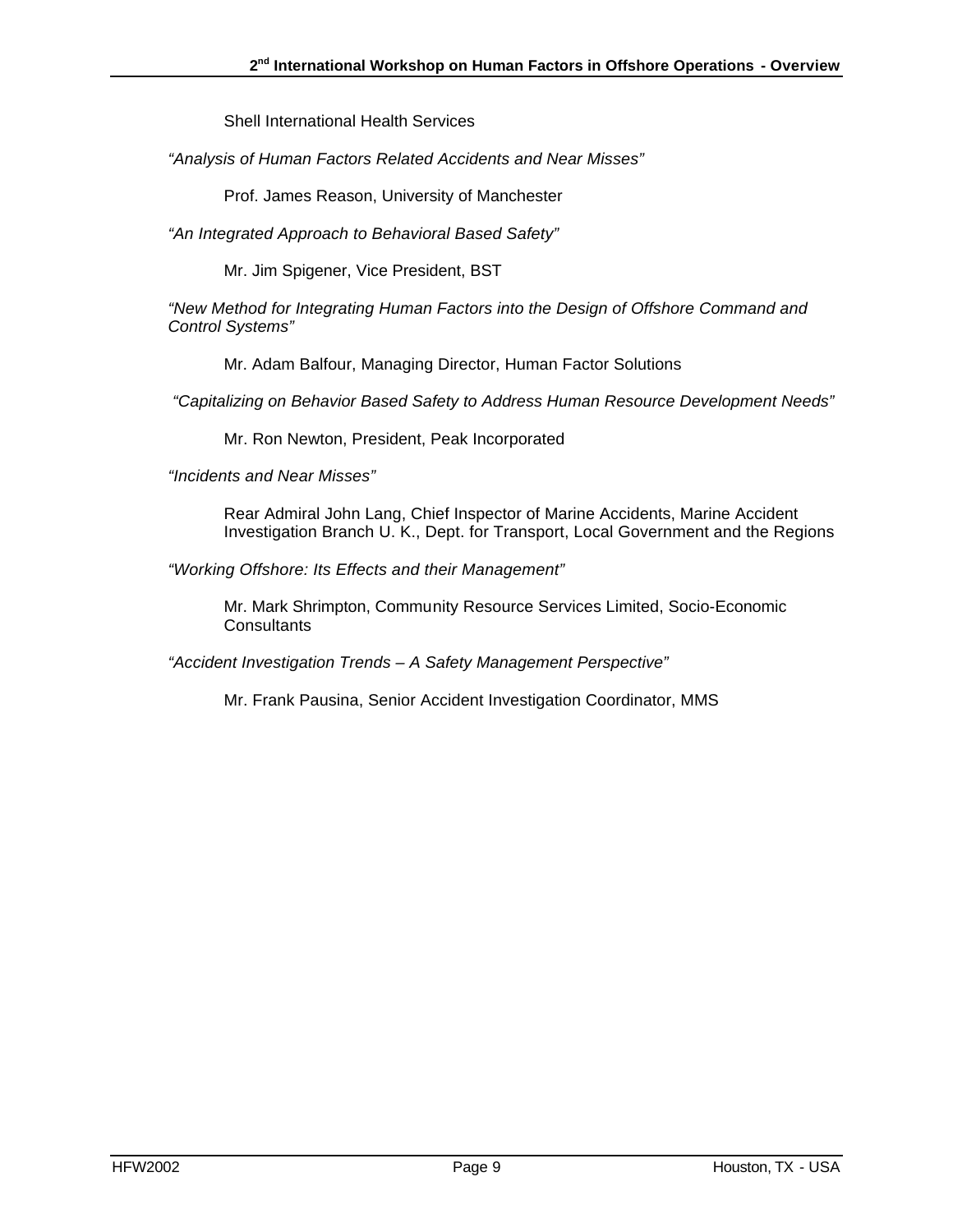Shell International Health Services

*"Analysis of Human Factors Related Accidents and Near Misses"*

Prof. James Reason, University of Manchester

*"An Integrated Approach to Behavioral Based Safety"*

Mr. Jim Spigener, Vice President, BST

*"New Method for Integrating Human Factors into the Design of Offshore Command and Control Systems"*

Mr. Adam Balfour, Managing Director, Human Factor Solutions

 *"Capitalizing on Behavior Based Safety to Address Human Resource Development Needs"*

Mr. Ron Newton, President, Peak Incorporated

*"Incidents and Near Misses"*

Rear Admiral John Lang, Chief Inspector of Marine Accidents, Marine Accident Investigation Branch U. K., Dept. for Transport, Local Government and the Regions

*"Working Offshore: Its Effects and their Management"*

Mr. Mark Shrimpton, Community Resource Services Limited, Socio-Economic **Consultants** 

*"Accident Investigation Trends – A Safety Management Perspective"*

Mr. Frank Pausina, Senior Accident Investigation Coordinator, MMS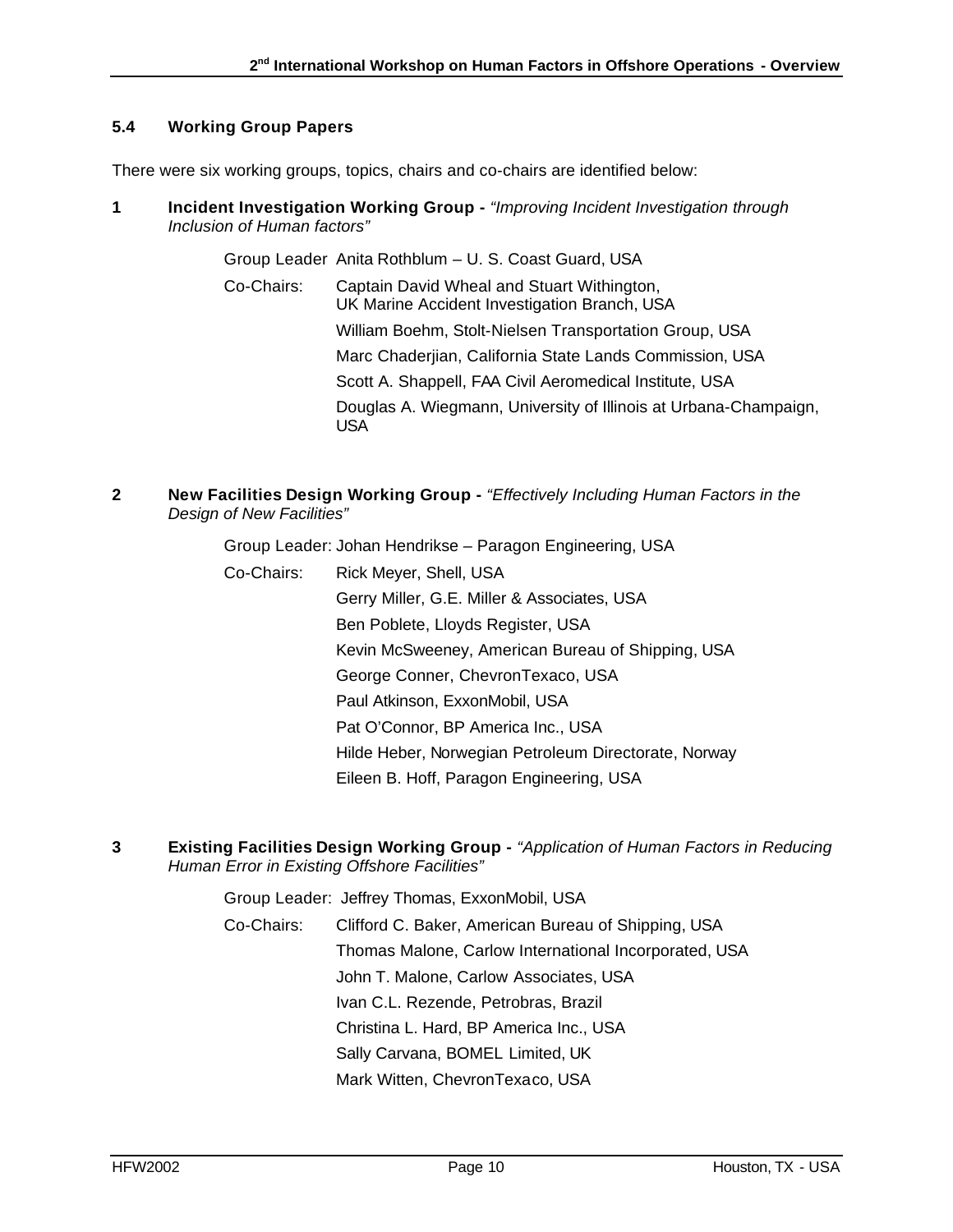#### **5.4 Working Group Papers**

There were six working groups, topics, chairs and co-chairs are identified below:

**1 Incident Investigation Working Group -** *"Improving Incident Investigation through Inclusion of Human factors"*

Group Leader Anita Rothblum – U. S. Coast Guard, USA

- Co-Chairs: Captain David Wheal and Stuart Withington, UK Marine Accident Investigation Branch, USA William Boehm, Stolt-Nielsen Transportation Group, USA Marc Chaderjian, California State Lands Commission, USA Scott A. Shappell, FAA Civil Aeromedical Institute, USA Douglas A. Wiegmann, University of Illinois at Urbana-Champaign, USA
- **2 New Facilities Design Working Group -** *"Effectively Including Human Factors in the Design of New Facilities"*

Group Leader: Johan Hendrikse – Paragon Engineering, USA

- Co-Chairs: Rick Meyer, Shell, USA Gerry Miller, G.E. Miller & Associates, USA Ben Poblete, Lloyds Register, USA Kevin McSweeney, American Bureau of Shipping, USA George Conner, ChevronTexaco, USA Paul Atkinson, ExxonMobil, USA Pat O'Connor, BP America Inc., USA Hilde Heber, Norwegian Petroleum Directorate, Norway Eileen B. Hoff, Paragon Engineering, USA
- **3 Existing Facilities Design Working Group -** *"Application of Human Factors in Reducing Human Error in Existing Offshore Facilities"*

Group Leader: Jeffrey Thomas, ExxonMobil, USA Co-Chairs: Clifford C. Baker, American Bureau of Shipping, USA Thomas Malone, Carlow International Incorporated, USA John T. Malone, Carlow Associates, USA Ivan C.L. Rezende, Petrobras, Brazil Christina L. Hard, BP America Inc., USA Sally Carvana, BOMEL Limited, UK Mark Witten, ChevronTexaco, USA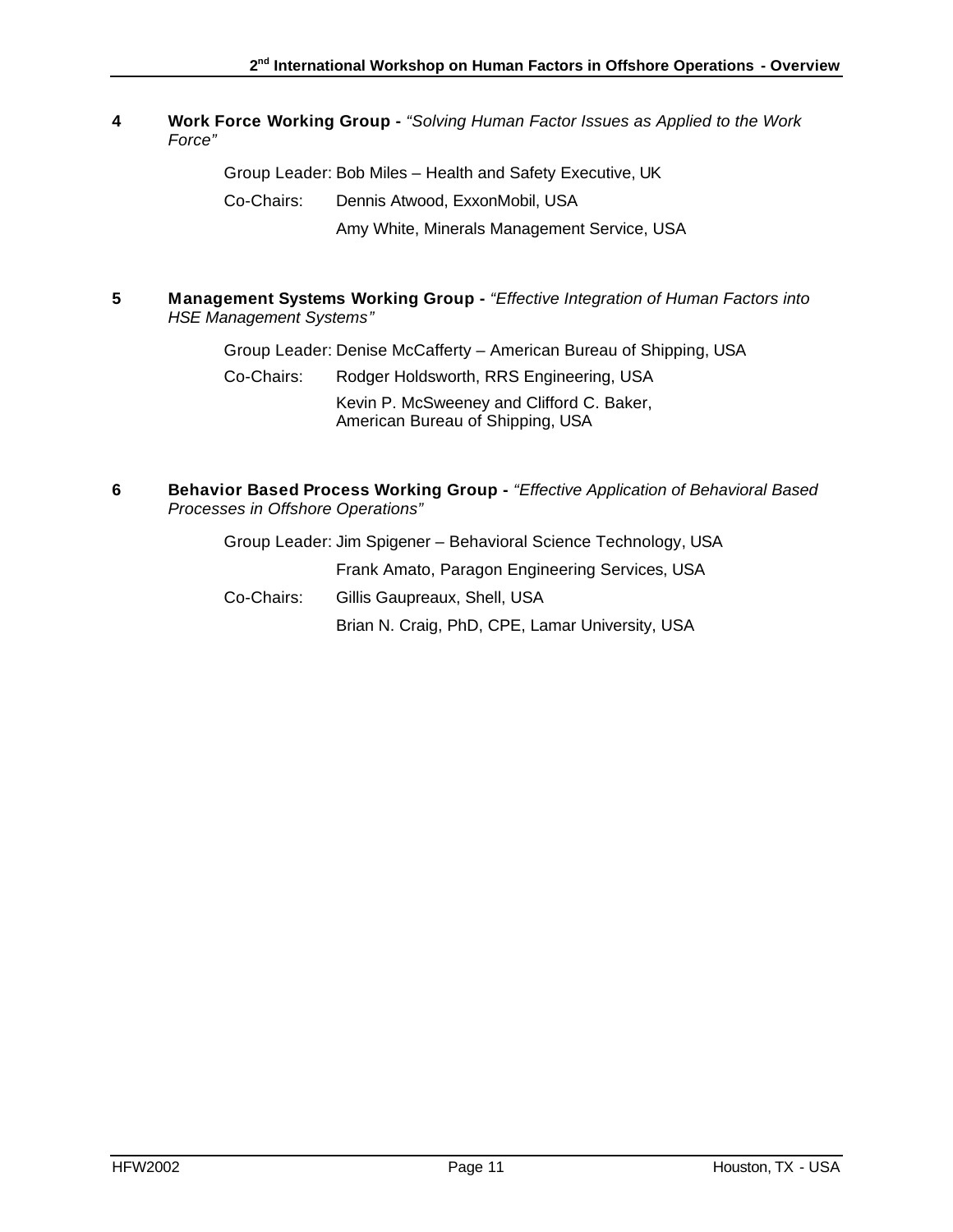#### **4 Work Force Working Group -** *"Solving Human Factor Issues as Applied to the Work Force"*

Group Leader: Bob Miles – Health and Safety Executive, UK

Co-Chairs: Dennis Atwood, ExxonMobil, USA

Amy White, Minerals Management Service, USA

**5 Management Systems Working Group -** *"Effective Integration of Human Factors into HSE Management Systems"*

Group Leader: Denise McCafferty – American Bureau of Shipping, USA

Co-Chairs: Rodger Holdsworth, RRS Engineering, USA Kevin P. McSweeney and Clifford C. Baker, American Bureau of Shipping, USA

**6 Behavior Based Process Working Group -** *"Effective Application of Behavioral Based Processes in Offshore Operations"*

| Group Leader: Jim Spigener - Behavioral Science Technology, USA |                                                 |  |  |  |
|-----------------------------------------------------------------|-------------------------------------------------|--|--|--|
|                                                                 | Frank Amato, Paragon Engineering Services, USA  |  |  |  |
| Co-Chairs:                                                      | Gillis Gaupreaux, Shell, USA                    |  |  |  |
|                                                                 | Brian N. Craig, PhD, CPE, Lamar University, USA |  |  |  |